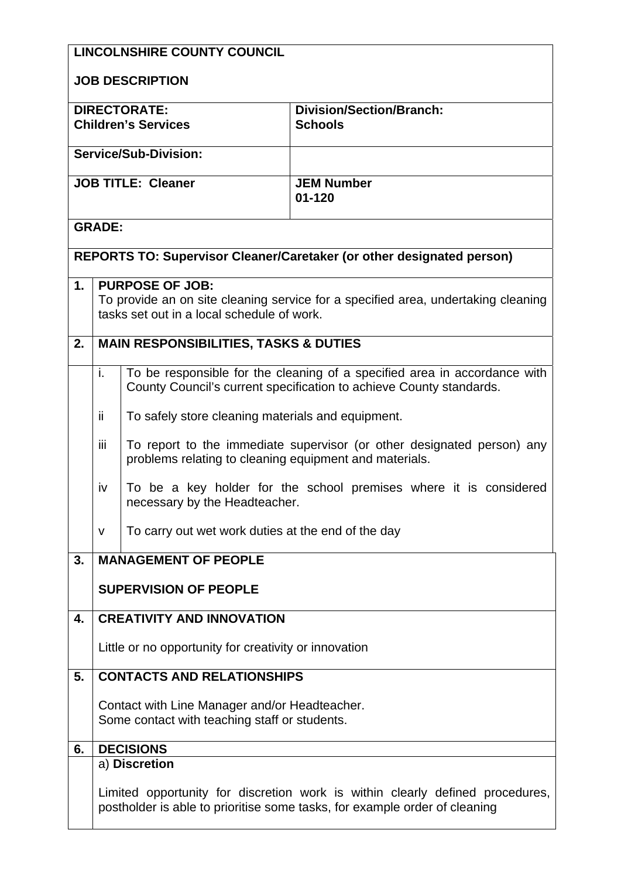|                              | <b>LINCOLNSHIRE COUNTY COUNCIL</b>                                                                                                                          |                                                                                                                                  |                                                                                                                                                  |  |  |  |
|------------------------------|-------------------------------------------------------------------------------------------------------------------------------------------------------------|----------------------------------------------------------------------------------------------------------------------------------|--------------------------------------------------------------------------------------------------------------------------------------------------|--|--|--|
| <b>JOB DESCRIPTION</b>       |                                                                                                                                                             |                                                                                                                                  |                                                                                                                                                  |  |  |  |
|                              |                                                                                                                                                             | <b>DIRECTORATE:</b><br><b>Children's Services</b>                                                                                | <b>Division/Section/Branch:</b><br><b>Schools</b>                                                                                                |  |  |  |
| <b>Service/Sub-Division:</b> |                                                                                                                                                             |                                                                                                                                  |                                                                                                                                                  |  |  |  |
| <b>JOB TITLE: Cleaner</b>    |                                                                                                                                                             |                                                                                                                                  | <b>JEM Number</b><br>$01 - 120$                                                                                                                  |  |  |  |
|                              | <b>GRADE:</b>                                                                                                                                               |                                                                                                                                  |                                                                                                                                                  |  |  |  |
|                              |                                                                                                                                                             |                                                                                                                                  | REPORTS TO: Supervisor Cleaner/Caretaker (or other designated person)                                                                            |  |  |  |
| 1.                           | <b>PURPOSE OF JOB:</b><br>To provide an on site cleaning service for a specified area, undertaking cleaning<br>tasks set out in a local schedule of work.   |                                                                                                                                  |                                                                                                                                                  |  |  |  |
| 2.                           |                                                                                                                                                             | <b>MAIN RESPONSIBILITIES, TASKS &amp; DUTIES</b>                                                                                 |                                                                                                                                                  |  |  |  |
|                              | i.                                                                                                                                                          |                                                                                                                                  | To be responsible for the cleaning of a specified area in accordance with<br>County Council's current specification to achieve County standards. |  |  |  |
|                              | ii.                                                                                                                                                         | To safely store cleaning materials and equipment.                                                                                |                                                                                                                                                  |  |  |  |
|                              | iii                                                                                                                                                         | To report to the immediate supervisor (or other designated person) any<br>problems relating to cleaning equipment and materials. |                                                                                                                                                  |  |  |  |
|                              | iv                                                                                                                                                          | To be a key holder for the school premises where it is considered<br>necessary by the Headteacher.                               |                                                                                                                                                  |  |  |  |
|                              | $\mathsf{V}$                                                                                                                                                | To carry out wet work duties at the end of the day                                                                               |                                                                                                                                                  |  |  |  |
| 3.                           |                                                                                                                                                             | <b>MANAGEMENT OF PEOPLE</b>                                                                                                      |                                                                                                                                                  |  |  |  |
|                              |                                                                                                                                                             | <b>SUPERVISION OF PEOPLE</b>                                                                                                     |                                                                                                                                                  |  |  |  |
| 4.                           |                                                                                                                                                             | <b>CREATIVITY AND INNOVATION</b>                                                                                                 |                                                                                                                                                  |  |  |  |
|                              | Little or no opportunity for creativity or innovation                                                                                                       |                                                                                                                                  |                                                                                                                                                  |  |  |  |
| 5.                           | <b>CONTACTS AND RELATIONSHIPS</b>                                                                                                                           |                                                                                                                                  |                                                                                                                                                  |  |  |  |
|                              | Contact with Line Manager and/or Headteacher.                                                                                                               |                                                                                                                                  |                                                                                                                                                  |  |  |  |
|                              | Some contact with teaching staff or students.                                                                                                               |                                                                                                                                  |                                                                                                                                                  |  |  |  |
| 6.                           |                                                                                                                                                             | <b>DECISIONS</b>                                                                                                                 |                                                                                                                                                  |  |  |  |
|                              |                                                                                                                                                             | a) Discretion                                                                                                                    |                                                                                                                                                  |  |  |  |
|                              | Limited opportunity for discretion work is within clearly defined procedures,<br>postholder is able to prioritise some tasks, for example order of cleaning |                                                                                                                                  |                                                                                                                                                  |  |  |  |
|                              |                                                                                                                                                             |                                                                                                                                  |                                                                                                                                                  |  |  |  |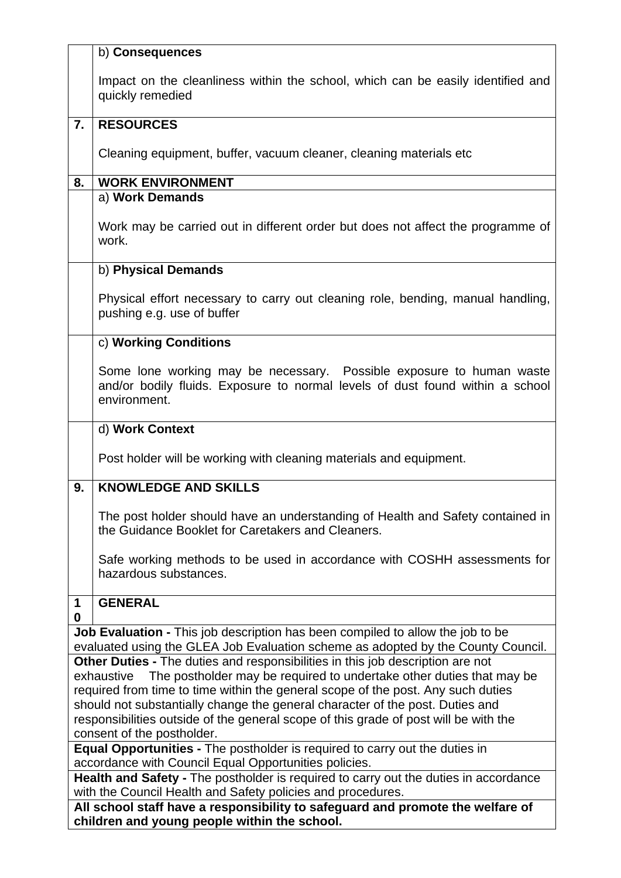|                                                                                                                                                                      | b) Consequences                                                                                                                                                       |  |  |  |
|----------------------------------------------------------------------------------------------------------------------------------------------------------------------|-----------------------------------------------------------------------------------------------------------------------------------------------------------------------|--|--|--|
|                                                                                                                                                                      | Impact on the cleanliness within the school, which can be easily identified and<br>quickly remedied                                                                   |  |  |  |
| $\overline{7}$ .                                                                                                                                                     | <b>RESOURCES</b>                                                                                                                                                      |  |  |  |
|                                                                                                                                                                      | Cleaning equipment, buffer, vacuum cleaner, cleaning materials etc.                                                                                                   |  |  |  |
| 8.                                                                                                                                                                   | <b>WORK ENVIRONMENT</b>                                                                                                                                               |  |  |  |
|                                                                                                                                                                      | a) Work Demands                                                                                                                                                       |  |  |  |
|                                                                                                                                                                      | Work may be carried out in different order but does not affect the programme of<br>work.                                                                              |  |  |  |
|                                                                                                                                                                      | b) Physical Demands                                                                                                                                                   |  |  |  |
|                                                                                                                                                                      | Physical effort necessary to carry out cleaning role, bending, manual handling,<br>pushing e.g. use of buffer                                                         |  |  |  |
|                                                                                                                                                                      | c) Working Conditions                                                                                                                                                 |  |  |  |
|                                                                                                                                                                      | Some lone working may be necessary. Possible exposure to human waste<br>and/or bodily fluids. Exposure to normal levels of dust found within a school<br>environment. |  |  |  |
|                                                                                                                                                                      | d) Work Context                                                                                                                                                       |  |  |  |
|                                                                                                                                                                      | Post holder will be working with cleaning materials and equipment.                                                                                                    |  |  |  |
| 9.                                                                                                                                                                   | <b>KNOWLEDGE AND SKILLS</b>                                                                                                                                           |  |  |  |
|                                                                                                                                                                      | The post holder should have an understanding of Health and Safety contained in<br>the Guidance Booklet for Caretakers and Cleaners.                                   |  |  |  |
|                                                                                                                                                                      | Safe working methods to be used in accordance with COSHH assessments for<br>hazardous substances.                                                                     |  |  |  |
| 1<br>0                                                                                                                                                               | <b>GENERAL</b>                                                                                                                                                        |  |  |  |
|                                                                                                                                                                      | Job Evaluation - This job description has been compiled to allow the job to be                                                                                        |  |  |  |
|                                                                                                                                                                      | evaluated using the GLEA Job Evaluation scheme as adopted by the County Council.                                                                                      |  |  |  |
| Other Duties - The duties and responsibilities in this job description are not<br>The postholder may be required to undertake other duties that may be<br>exhaustive |                                                                                                                                                                       |  |  |  |
|                                                                                                                                                                      | required from time to time within the general scope of the post. Any such duties                                                                                      |  |  |  |
|                                                                                                                                                                      | should not substantially change the general character of the post. Duties and                                                                                         |  |  |  |
|                                                                                                                                                                      | responsibilities outside of the general scope of this grade of post will be with the                                                                                  |  |  |  |
|                                                                                                                                                                      | consent of the postholder.                                                                                                                                            |  |  |  |
| <b>Equal Opportunities - The postholder is required to carry out the duties in</b>                                                                                   |                                                                                                                                                                       |  |  |  |
|                                                                                                                                                                      | accordance with Council Equal Opportunities policies.                                                                                                                 |  |  |  |
| Health and Safety - The postholder is required to carry out the duties in accordance                                                                                 |                                                                                                                                                                       |  |  |  |
| with the Council Health and Safety policies and procedures.<br>All school staff have a responsibility to safeguard and promote the welfare of                        |                                                                                                                                                                       |  |  |  |
|                                                                                                                                                                      | children and young people within the school.                                                                                                                          |  |  |  |
|                                                                                                                                                                      |                                                                                                                                                                       |  |  |  |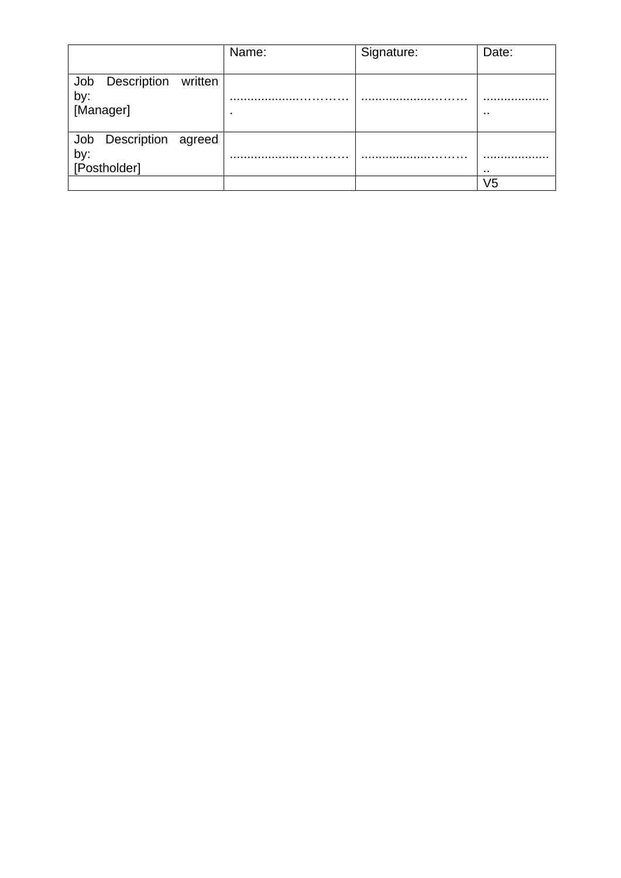|                                                  | Name: | Signature: | Date: |
|--------------------------------------------------|-------|------------|-------|
| Job Description written<br>by:<br>[Manager]      | ٠     | .          |       |
| Description agreed<br>Job<br>by:<br>[Postholder] |       |            |       |
|                                                  |       |            | V5    |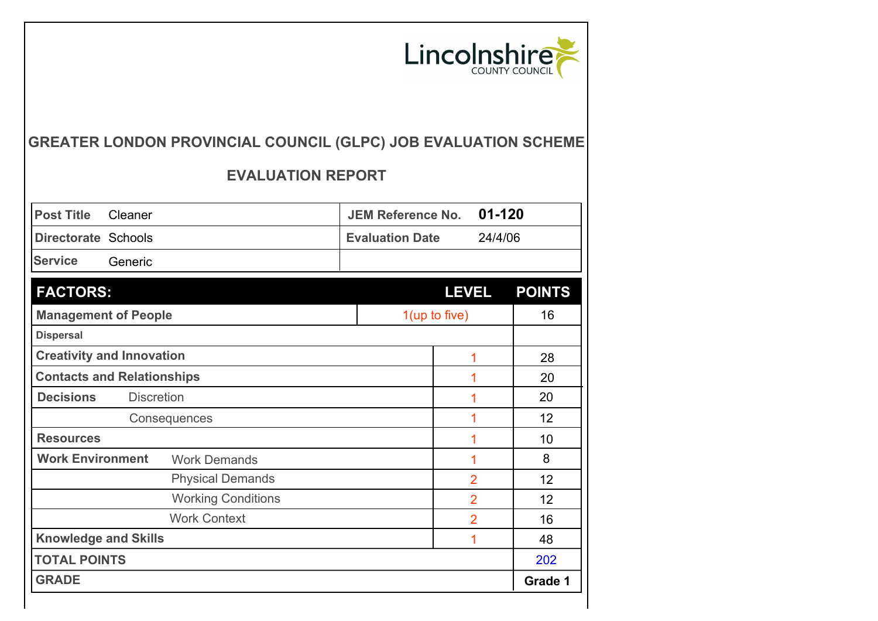

## **GREATER LONDON PROVINCIAL COUNCIL (GLPC) JOB EVALUATION SCHEME**

## **EVALUATION REPORT**

| <b>Post Title</b>                | Cleaner                           |  | <b>JEM Reference No.</b> | $01 - 120$     |               |
|----------------------------------|-----------------------------------|--|--------------------------|----------------|---------------|
| Directorate Schools              |                                   |  | <b>Evaluation Date</b>   | 24/4/06        |               |
| <b>Service</b>                   | Generic                           |  |                          |                |               |
| <b>FACTORS:</b>                  |                                   |  |                          | <b>LEVEL</b>   | <b>POINTS</b> |
| <b>Management of People</b>      |                                   |  | $1$ (up to five)         |                | 16            |
| <b>Dispersal</b>                 |                                   |  |                          |                |               |
|                                  | <b>Creativity and Innovation</b>  |  |                          | 1              | 28            |
|                                  | <b>Contacts and Relationships</b> |  |                          | 1              | 20            |
| <b>Decisions</b>                 | <b>Discretion</b>                 |  |                          | 1              | 20            |
|                                  | Consequences                      |  |                          | 1              | 12            |
| <b>Resources</b>                 |                                   |  |                          | 1              | 10            |
| <b>Work Environment</b>          | <b>Work Demands</b>               |  |                          | 1              | 8             |
|                                  | <b>Physical Demands</b>           |  |                          | $\overline{2}$ | 12            |
|                                  | <b>Working Conditions</b>         |  |                          | $\overline{2}$ | 12            |
|                                  | <b>Work Context</b>               |  |                          | $\overline{2}$ | 16            |
| <b>Knowledge and Skills</b><br>1 |                                   |  |                          |                | 48            |
| <b>TOTAL POINTS</b>              |                                   |  |                          |                | 202           |
| <b>GRADE</b>                     |                                   |  |                          |                | Grade 1       |